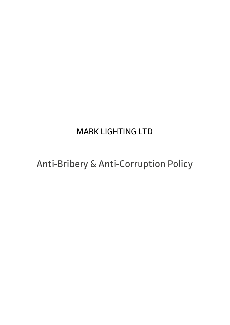# WANN LIUNTINU LIL MARK LIGHTING LTD

Anti-Bribery & Anti-Corruption Policy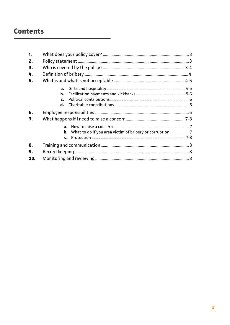# **Contents**

| 1.  |                                                                   |  |  |  |  |
|-----|-------------------------------------------------------------------|--|--|--|--|
| 2.  |                                                                   |  |  |  |  |
| 3.  |                                                                   |  |  |  |  |
| 4.  |                                                                   |  |  |  |  |
| 5.  |                                                                   |  |  |  |  |
|     | a.                                                                |  |  |  |  |
|     | b.                                                                |  |  |  |  |
|     | $\mathbf{c}$ .                                                    |  |  |  |  |
|     | d.                                                                |  |  |  |  |
| 6.  |                                                                   |  |  |  |  |
| 7.  |                                                                   |  |  |  |  |
|     |                                                                   |  |  |  |  |
|     | <b>b.</b> What to do if you area victim of bribery or corruption7 |  |  |  |  |
|     | c.                                                                |  |  |  |  |
| 8.  |                                                                   |  |  |  |  |
| 9.  |                                                                   |  |  |  |  |
| 10. |                                                                   |  |  |  |  |
|     |                                                                   |  |  |  |  |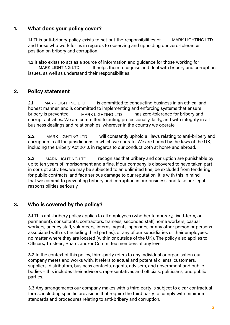# **1. What does your policy cover?**

**1.1** This anti-bribery policy exists to set out the responsibilities of MARK LIGHTING LTD and those who work for us in regards to observing and upholding our zero-tolerance position on bribery and corruption.

**1.2** It also exists to act as a source of information and guidance for those working for MARK LIGHTING LTD . It helps them recognise and deal with bribery and corruption issues, as well as understand their responsibilities.

# **2. Policy statement**

**2.1** MARK LIGHTING LTD is committed to conducting business in an ethical and honest manner, and is committed to implementing and enforcing systems that ensure bribery is prevented. MARK LIGHTING LTD has zero-tolerance for bribery and corrupt activities. We are committed to acting professionally, fairly, and with integrity in all business dealings and relationships, wherever in the country we operate. is anti-bribery policy exists to set out the responsibilities of MARK LIGHTING LTD<br>hose who work for us in regards to observing and upholding our zero-tolerance<br>on on on bribery and corruption.<br>Has exists to act as a sourc

**2.2** MARK LIGHTING LTD will constantly uphold all laws relating to anti-bribery and corruption in all the jurisdictions in which we operate. We are bound by the laws of the UK, including the Bribery Act 2010, in regards to our conduct both at home and abroad.

**2.3** MARK LIGHTING LTD recognises that bribery and corruption are punishable by up to ten years of imprisonment and a fine. If our company is discovered to have taken part in corrupt activities, we may be subjected to an unlimited fine, be excluded from tendering for public contracts, and face serious damage to our reputation. It is with this in mind that we commit to preventing bribery and corruption in our business, and take our legal responsibilities seriously.

# **3. Who is covered by the policy?**

**3.1** This anti-bribery policy applies to all employees (whether temporary, fixed-term, or permanent), consultants, contractors, trainees, seconded staff, home workers, casual workers, agency staff, volunteers, interns, agents, sponsors, or any other person or persons associated with us (including third parties), or any of our subsidiaries or their employees, no matter where they are located (within or outside of the UK). The policy also applies to Officers, Trustees, Board, and/or Committee members at any level.

**3.2** In the context of this policy, third-party refers to any individual or organisation our company meets and works with. It refers to actual and potential clients, customers, suppliers, distributors, business contacts, agents, advisers, and government and public bodies – this includes their advisors, representatives and officials, politicians, and public parties.

**3.3** Any arrangements our company makes with a third party is subject to clear contractual terms, including specific provisions that require the third party to comply with minimum standards and procedures relating to anti-bribery and corruption.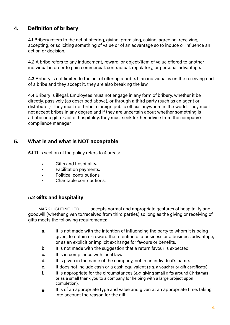# **4. Definition of bribery**

**4.1** Bribery refers to the act of offering, giving, promising, asking, agreeing, receiving, accepting, or soliciting something of value or of an advantage so to induce or influence an action or decision.

**4.2** A bribe refers to any inducement, reward, or object/item of value offered to another individual in order to gain commercial, contractual, regulatory, or personal advantage.

**4.3** Bribery is not limited to the act of offering a bribe. If an individual is on the receiving end of a bribe and they accept it, they are also breaking the law.

**4.4** Bribery is illegal. Employees must not engage in any form of bribery, whether it be directly, passively (as described above), or through a third party (such as an agent or distributor). They must not bribe a foreign public official anywhere in the world. They must not accept bribes in any degree and if they are uncertain about whether something is a bribe or a gift or act of hospitality, they must seek further advice from the company's compliance manager.

## **5. What is and what is NOT acceptable**

**5.1** This section of the policy refers to 4 areas:

- Gifts and hospitality.
- Facilitation payments.
- Political contributions.
- Charitable contributions.

#### **5.2 Gifts and hospitality**

accepts normal and appropriate gestures of hospitality and goodwill (whether given to/received from third parties) so long as the giving or receiving of gifts meets the following requirements: MARK LIGHTING LTD

- **a.** It is not made with the intention of influencing the party to whom it is being given, to obtain or reward the retention of a business or a business advantage, or as an explicit or implicit exchange for favours or benefits.
- **b.** It is not made with the suggestion that a return favour is expected.
- **c.** It is in compliance with local law.
- **d.** It is given in the name of the company, not in an individual's name.
- **e.** It does not include cash or a cash equivalent (*e.g.* a voucher or gift certificate).
- **f.** It is appropriate for the circumstances (*e.g.* giving small gifts around Christmas or as a small thank you to a company for helping with a large project upon completion).
- **g.** It is of an appropriate type and value and given at an appropriate time, taking into account the reason for the gift.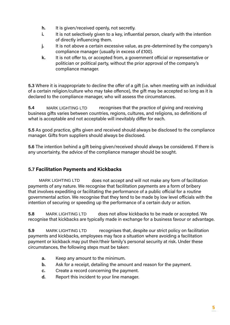- **h.** It is given/received openly, not secretly.
- **i.** It is not selectively given to a key, influential person, clearly with the intention of directly influencing them.
- **j.** It is not above a certain excessive value, as pre-determined by the company's compliance manager (usually in excess of £100).
- **k.** It is not offer to, or accepted from, a government official or representative or politician or political party, without the prior approval of the company's compliance manager.

**5.3** Where it is inappropriate to decline the offer of a gift (i.e. when meeting with an individual of a certain religion/culture who may take offence), the gift may be accepted so long as it is declared to the compliance manager, who will assess the circumstances.

**5.4** MARK LIGHTING LTD recognises that the practice of giving and receiving business gifts varies between countries, regions, cultures, and religions, so definitions of what is acceptable and not acceptable will inevitably differ for each.

**5.5** As good practice, gifts given and received should always be disclosed to the compliance manager. Gifts from suppliers should always be disclosed.

**5.6** The intention behind a gift being given/received should always be considered. If there is any uncertainty, the advice of the compliance manager should be sought.

## **5.7 Facilitation Payments and Kickbacks**

MARK LIGHTING LTD does not accept and will not make any form of facilitation payments of any nature. We recognise that facilitation payments are a form of bribery that involves expediting or facilitating the performance of a public official for a routine governmental action. We recognise that they tend to be made by low level officials with the intention of securing or speeding up the performance of a certain duty or action. MARK LIGHTING LTD<br>ess gifts varies between<br>is acceptable and not ac<br>s good practice, gifts giv<br>ger. Gifts from suppliers<br>he intention behind a gift<br>ncertainty, the advice of<br>**acilitation Payments**<br>MARK LIGHTING LTD<br>mark LI

**5.8** MARK LIGHTING LTD does not allow kickbacks to be made or accepted. We recognise that kickbacks are typically made in exchange for a business favour or advantage.

**5.9** MARK LIGHTING LTD recognises that, despite our strict policy on facilitation payments and kickbacks, employees may face a situation where avoiding a facilitation payment or kickback may put their/their family's personal security at risk. Under these circumstances, the following steps must be taken:

- **a.** Keep any amount to the minimum.
- **b.** Ask for a receipt, detailing the amount and reason for the payment.
- **c.** Create a record concerning the payment.
- **d.** Report this incident to your line manager.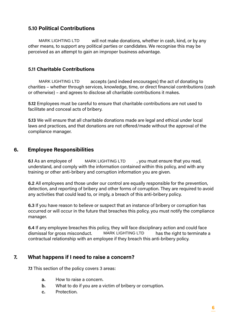### **5.10 Political Contributions**

MARK LIGHTING LTD will not make donations, whether in cash, kind, or by any other means, to support any political parties or candidates. We recognise this may be perceived as an attempt to gain an improper business advantage.

#### **5.11 Charitable Contributions**

MARK LIGHTING LTD accepts (and indeed encourages) the act of donating to charities – whether through services, knowledge, time, or direct financial contributions (cash or otherwise) – and agrees to disclose all charitable contributions it makes.

**5.12** Employees must be careful to ensure that charitable contributions are not used to facilitate and conceal acts of bribery.

**5.13** We will ensure that all charitable donations made are legal and ethical under local laws and practices, and that donations are not offered/made without the approval of the compliance manager. MARK LIGHTING LTD<br>
will not make donations, w<br>
means, to support any political parties or candidates<br>
eived as an attempt to gain an improper business adv<br> **Charitable Contributions**<br>
MARK LIGHTING LTD accepts (and indeed

#### **6. Employee Responsibilities**

**6.1** As an employee of MARK LIGHTING LTD, you must ensure that you read, understand, and comply with the information contained within this policy, and with any training or other anti-bribery and corruption information you are given.

**6.2** All employees and those under our control are equally responsible for the prevention, detection, and reporting of bribery and other forms of corruption. They are required to avoid any activities that could lead to, or imply, a breach of this anti-bribery policy.

**6.3** If you have reason to believe or suspect that an instance of bribery or corruption has occurred or will occur in the future that breaches this policy, you must notify the compliance manager.

**6.4** If any employee breaches this policy, they will face disciplinary action and could face dismissal for gross misconduct. MARK LIGHTING LTD has the right to terminate a contractual relationship with an employee if they breach this anti-bribery policy.

## **7. What happens if I need to raise a concern?**

**7.1** This section of the policy covers 3 areas:

- **a.** How to raise a concern.
- **b.** What to do if you are a victim of bribery or corruption.
- **c.** Protection.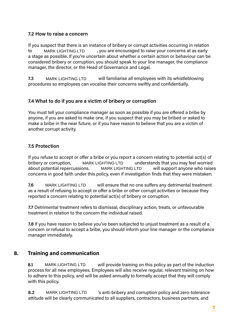#### **7.2 How to raise a concern**

If you suspect that there is an instance of bribery or corrupt activities occurring in relation to MARK LIGHTING LTD, you are encouraged to raise your concerns at as early a stage as possible. If you're uncertain about whether a certain action or behaviour can be considered bribery or corruption, you should speak to your line manager, the compliance manager, the director, or the Head of Governance and Legal.

**7.3** MARK LIGHTING LTD will familiarise all employees with its whistleblowing procedures so employees can vocalise their concerns swiftly and confidentially.

#### **7.4 What to do if you are a victim of bribery or corruption**

You must tell your compliance manager as soon as possible if you are offered a bribe by anyone, if you are asked to make one, if you suspect that you may be bribed or asked to make a bribe in the near future, or if you have reason to believe that you are a victim of another corrupt activity.

#### **7.5 Protection**

If you refuse to accept or offer a bribe or you report a concern relating to potential act(s) of bribery or corruption, MARK LIGHTING LTD understands that you may feel worried about potential repercussions. MARK LIGHTING LTD will support anyone who raises concerns in good faith under this policy, even if investigation finds that they were mistaken. MARK LIGHTING LTD<br>as possible. If you're uncertain about whether a cred bribery or corruption, you should speak to yo<br>t, the director, or the Head of Governance and Le<br>MARK LIGHTING LTD will familiarise all emp<br>mes so empl

**7.6** MARK LIGHTING LTD will ensure that no one suffers any detrimental treatment as a result of refusing to accept or offer a bribe or other corrupt activities or because they reported a concern relating to potential act(s) of bribery or corruption.

**7.7** Detrimental treatment refers to dismissal, disciplinary action, treats, or unfavourable treatment in relation to the concern the individual raised.

**7.8** If you have reason to believe you've been subjected to unjust treatment as a result of a concern or refusal to accept a bribe, you should inform your line manager or the compliance manager immediately.

#### **8. Training and communication**

**8.1** MARK LIGHTING LTD will provide training on this policy as part of the induction process for all new employees. Employees will also receive regular, relevant training on how to adhere to this policy, and will be asked annually to formally accept that they will comply with this policy.

**8.2** MARK LIGHTING LTD 's anti-bribery and corruption policy and zero-tolerance attitude will be clearly communicated to all suppliers, contractors, business partners, and